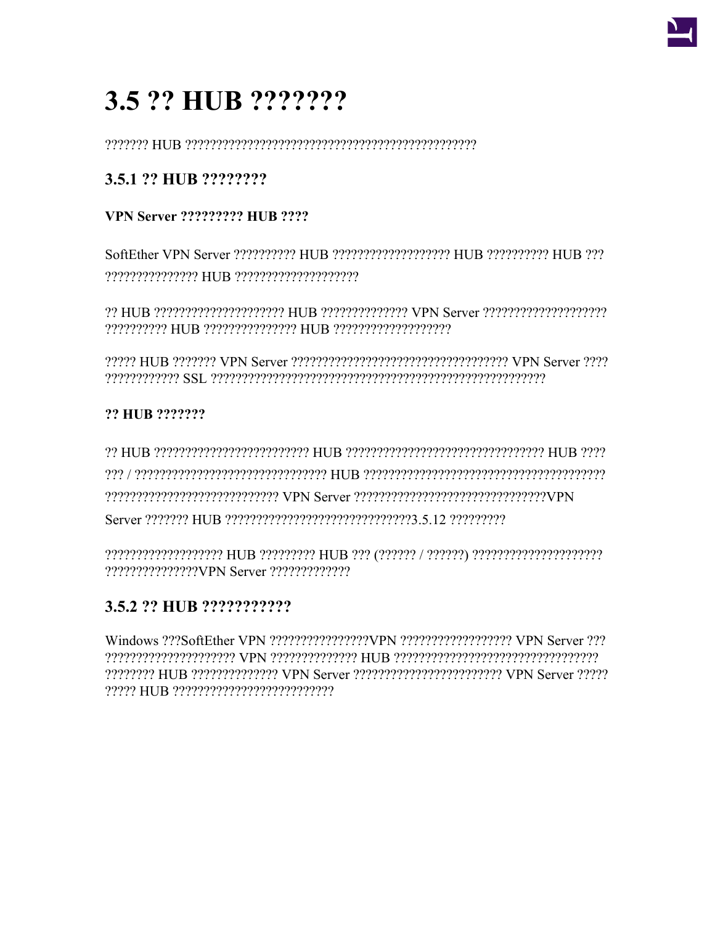

# 3.5 ?? HUB ???????

# 3.5.1 ?? HUB ????????

# **VPN Server ????????? HIJB ????**

# ?? HUB ???????

PUIB COCCOPT CONCORDING THE SERVICE AND HUB CONSTRUCT AND HUB CONTROLLER SUPPLIES OF THE SERVICE AND THE CO Terror Server Communication of the Corporation of Contract Corporation of the Server Corporation of the Server 

# 3.5.2 ?? HUB ???????????

receptederederederederederederederer HUB presentederer German receptederederererer 22222222 HUB 2222222222222 VPN Server 222222222222222222222222 VPN Server 22222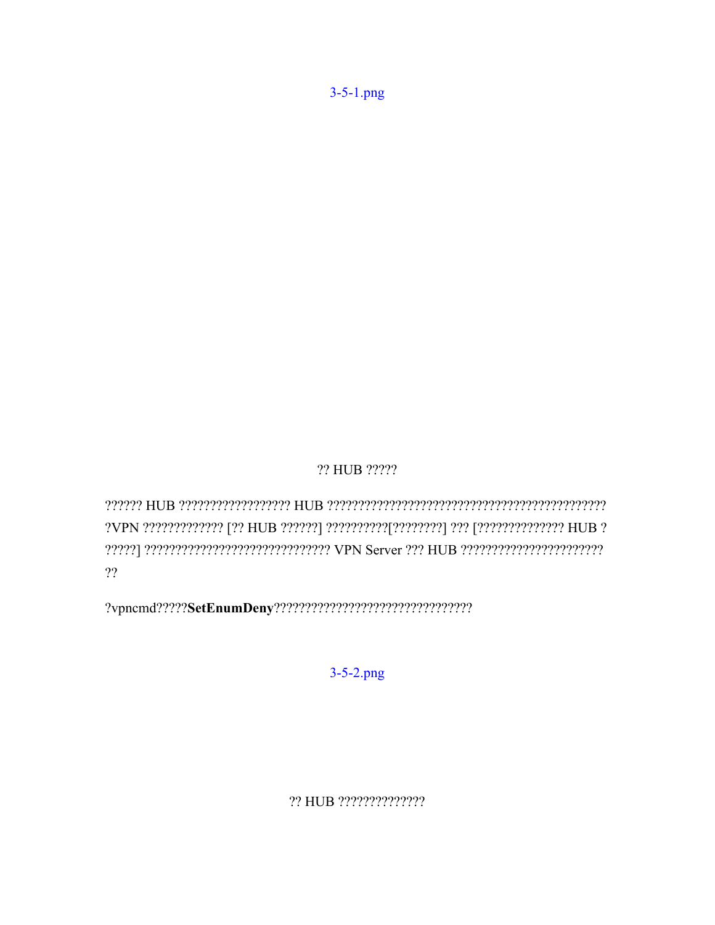?? HUB ?????

?????? וכתירת היותו היותו את AFT Server וכתירת היותו היותו היותו היותו היותו היותו היותו היותו היותו היותו היו  $22$ 

 $?vpcmd?????Set \textbf{EnumDeny} ???????????????????????????????????$ 

 $3 - 5 - 2$ .png

?? HUB ???????????????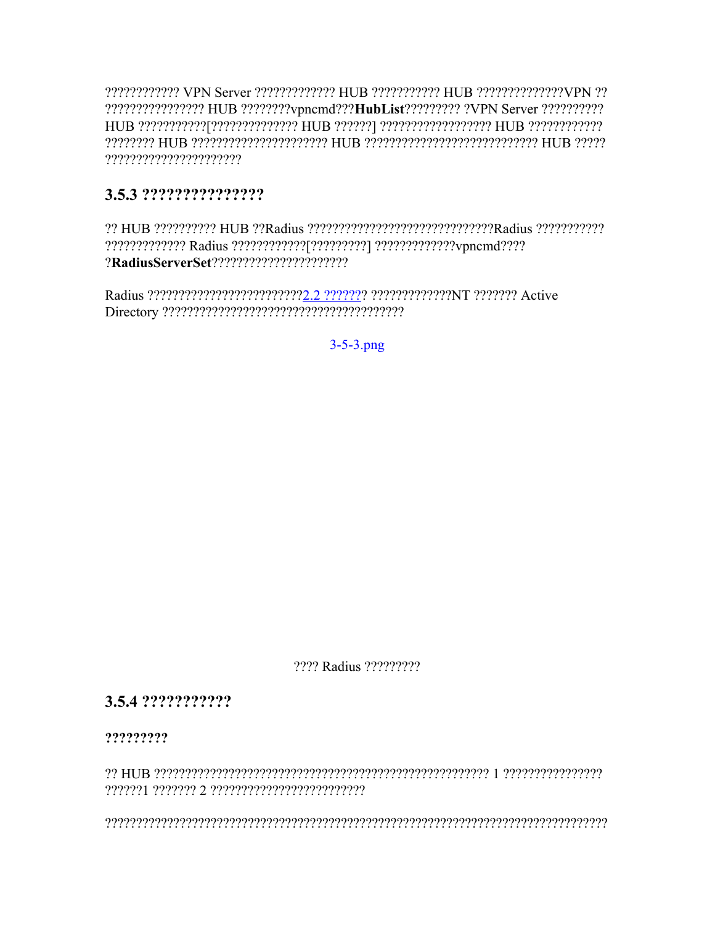????????????????? HUB ????????vpncmd???HubList????????? ?VPN Server ??????????? ???????????????????????

# 

?? HUB ?????????? HUB ??Radius ?????????????????????????????Radius ????????????? 

 $3 - 5 - 3$ .png

2222 Radius 222222222

# 3.5.4 ???????????

?????????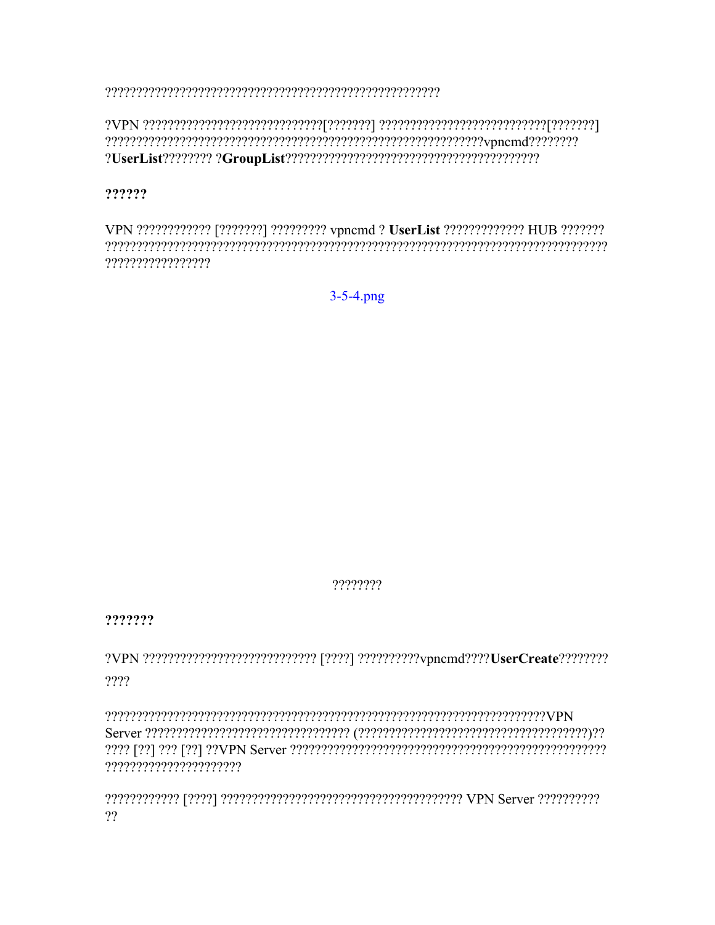# ??????

VPN ???????????? [???????] ????????? vpncmd ? UserList ???????????? HUB ???????? ?????????????????

 $3 - 5 - 4$ .png

????????

???????

 $2222$ 

??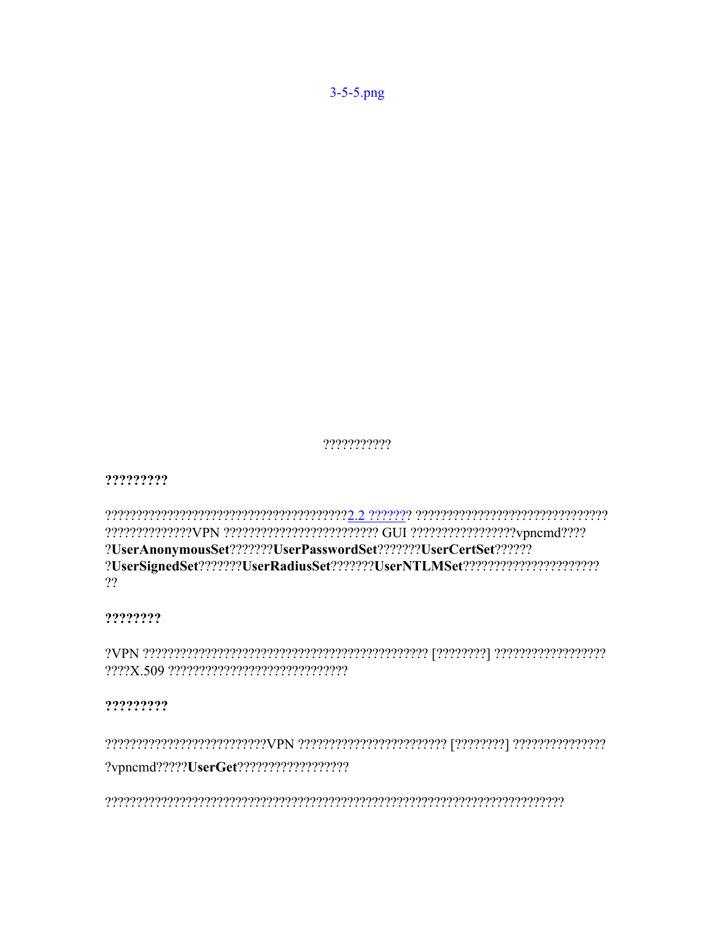???????????

?????????

?UserAnonymousSet???????UserPasswordSet???????UserCertSet?????? ?UserSignedSet???????UserRadiusSet???????UserNTLMSet?????????????????????????????  $22$ 

????????

?????????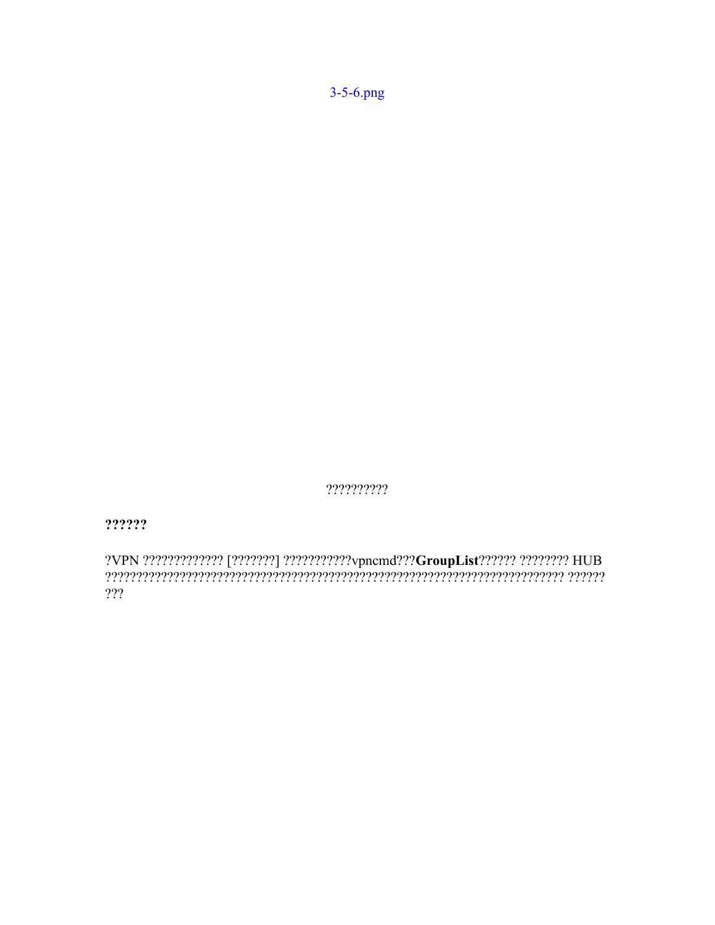$3 - 5 - 6$ .png

??????????

 $? ? ? ? ? ?$ 

???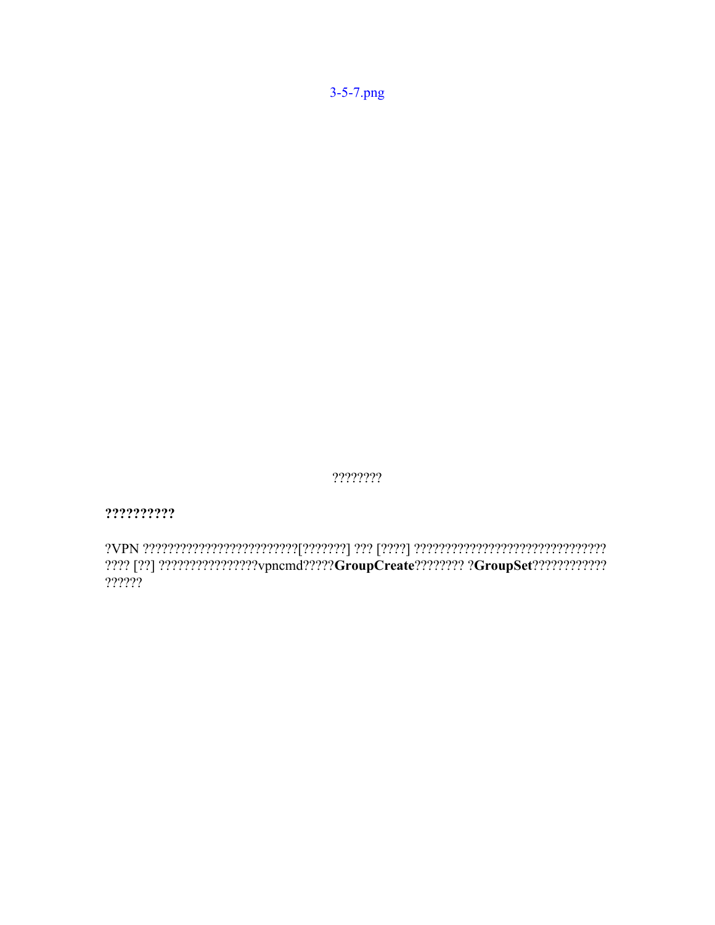???? [??] ?????????????????/vpncmd?????GroupCreate???????? ?GroupSet?????????????  $22222$ 

??????????

 $????????$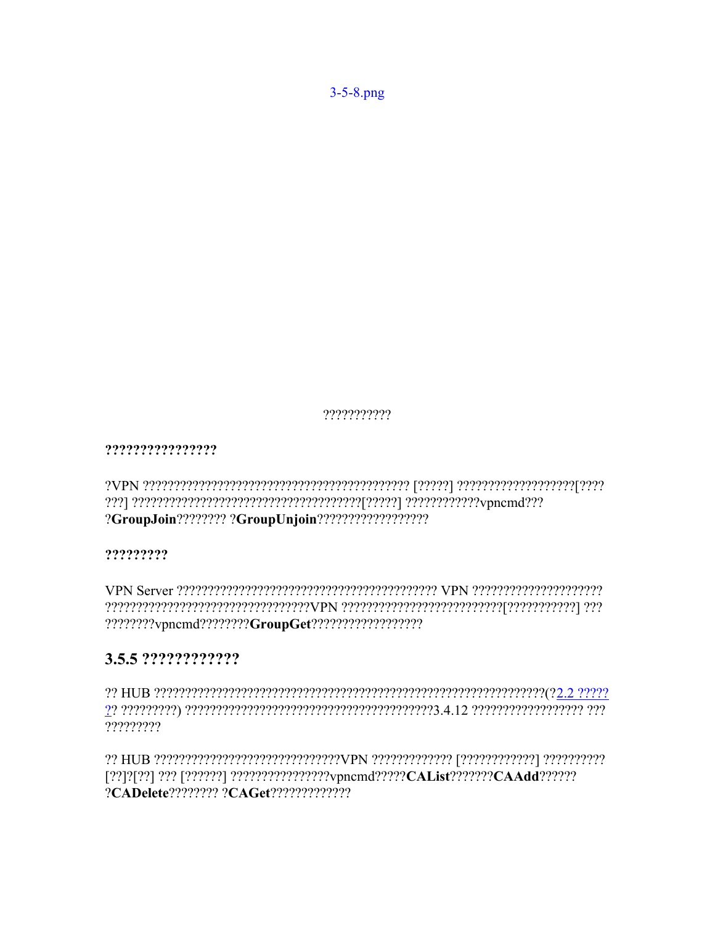$3 - 5 - 8$ .png

???????????

????????????????

?????????

# 3.5.5 ?????????????

?????????

?CADelete???????? ?CAGet??????????????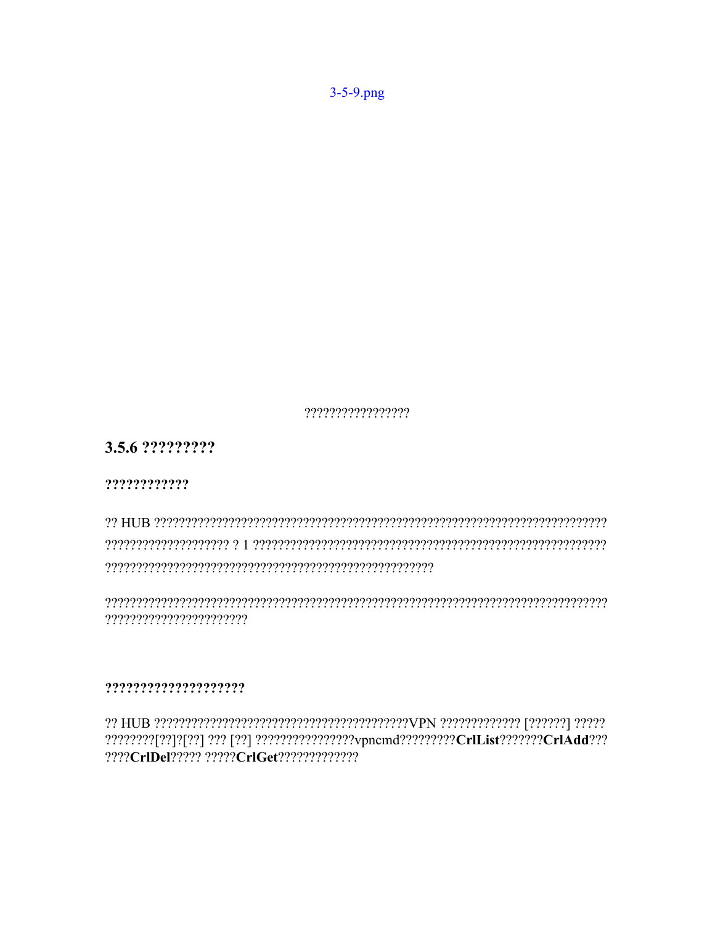?????????????????

3.5.6 ?????????

????????????

reserved that the consequence of the HI and the HI and the HI and the consequence of the consequence of the co 

?????????????????????

????CrIDel????? ?????CrIGet??????????????

 $3-5-9$ .png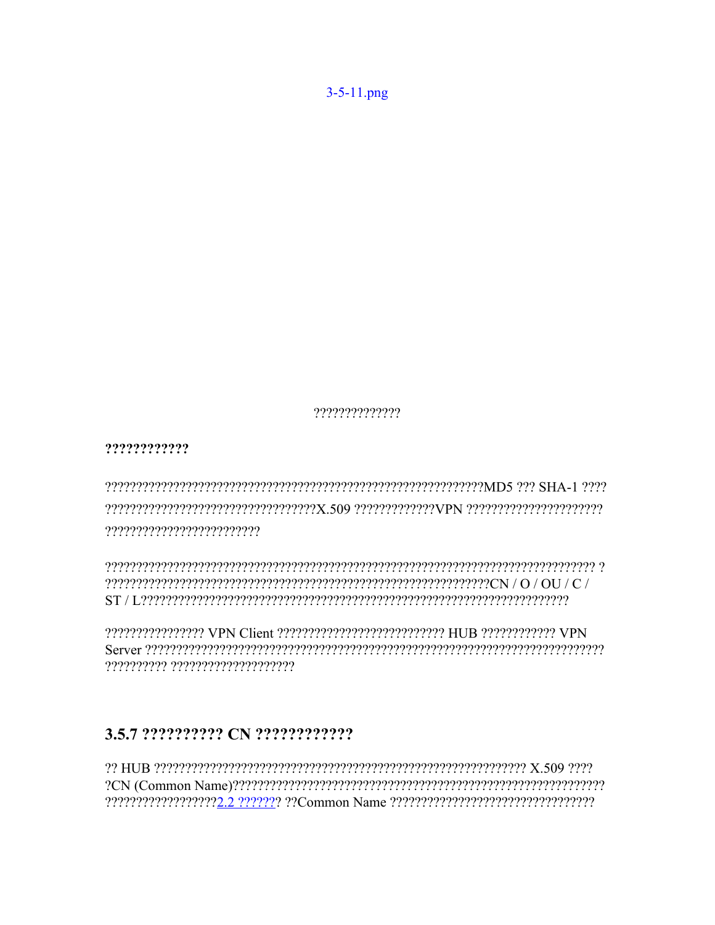$3 - 5 - 11$ .png

??????????????

????????????

 $\frac{1}{2} \frac{1}{2} \frac{1}{2} \frac{1}{2} \frac{1}{2} \frac{1}{2} \frac{1}{2} \frac{1}{2} \frac{1}{2} \frac{1}{2} \frac{1}{2} \frac{1}{2} \frac{1}{2} \frac{1}{2} \frac{1}{2} \frac{1}{2} \frac{1}{2} \frac{1}{2} \frac{1}{2} \frac{1}{2} \frac{1}{2} \frac{1}{2} \frac{1}{2} \frac{1}{2} \frac{1}{2} \frac{1}{2} \frac{1}{2} \frac{1}{2} \frac{1}{2} \frac{1}{2} \frac{1}{2} \frac{$ 

**PERIODE CONTROLS THE CONSTRUCTION OF THE PROPERTY OF STATE AND CONSTRUCTION CONTROL** ?????????? ????????????????????

#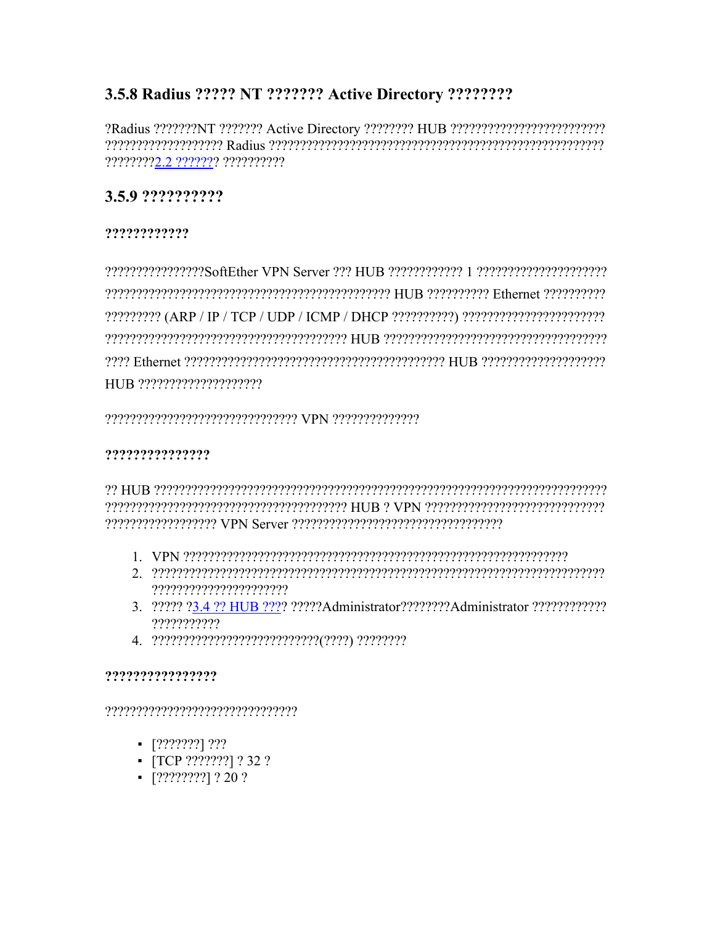# 3.5.8 Radius ????? NT ??????? Active Directory ????????

????????2.2 ??????? ??????????

# 3.5.9 ??????????

# ????????????

P222 Ethernet 2222222222222222222223 Ethernet 2222223 Ethernet 222222222222222222 

# ???????????????

- 
- $2. \hskip 10pt 2? \hskip 10pt 2? \hskip 10pt 2? \hskip 10pt 2? \hskip 10pt 2? \hskip 10pt 2? \hskip 10pt 2? \hskip 10pt 2? \hskip 10pt 2? \hskip 10pt 2? \hskip 10pt 2? \hskip 10pt 2? \hskip 10pt 2? \hskip 10pt 2? \hskip 10pt 2? \hskip 10pt 2? \hskip 10pt 2? \hskip 10pt 2? \hskip 10pt 2? \hskip 10pt 2? \hskip 10pt 2? \hskip 10pt$
- 3. 22222 23.4.22 HUB 2222 22222 Administrator 2222222 Administrator 22222222222 ???????????
- 

# ????????????????

- $\blacksquare$  [???????] ???
- $\blacksquare$  [TCP ????????] ? 32 ?
- $-$  [????????] ? 20 ?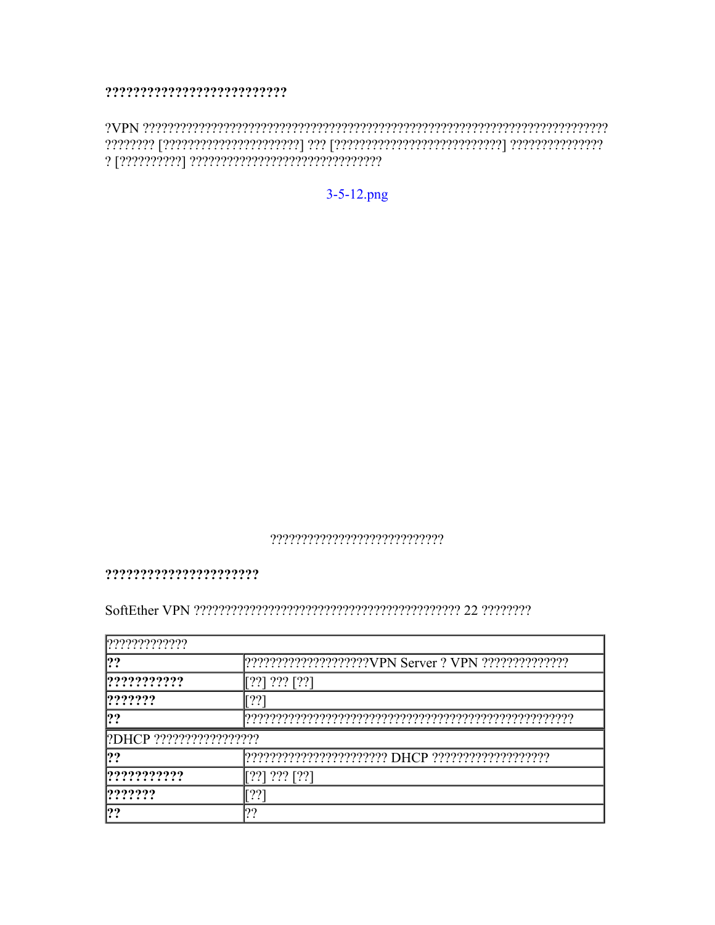#### 

 $3 - 5 - 12$ .png

#### 

#### 

| ? ? ? ? ? ? ? ? ? ? ? ? ? |                                                                       |
|---------------------------|-----------------------------------------------------------------------|
| ??                        |                                                                       |
|                           | $\left[?\right]\right]\left[\right]\left[\right]\left[\right]$        |
| ? ? ? ? ? ?               |                                                                       |
| ??                        |                                                                       |
|                           |                                                                       |
| 199                       |                                                                       |
| ? ? ? ? ? ? ? ? ? ?       | $\left[?\right]\right]\left[\right]\left[\right]\left[\right]\right]$ |
| ???????                   |                                                                       |
| ??                        | 199                                                                   |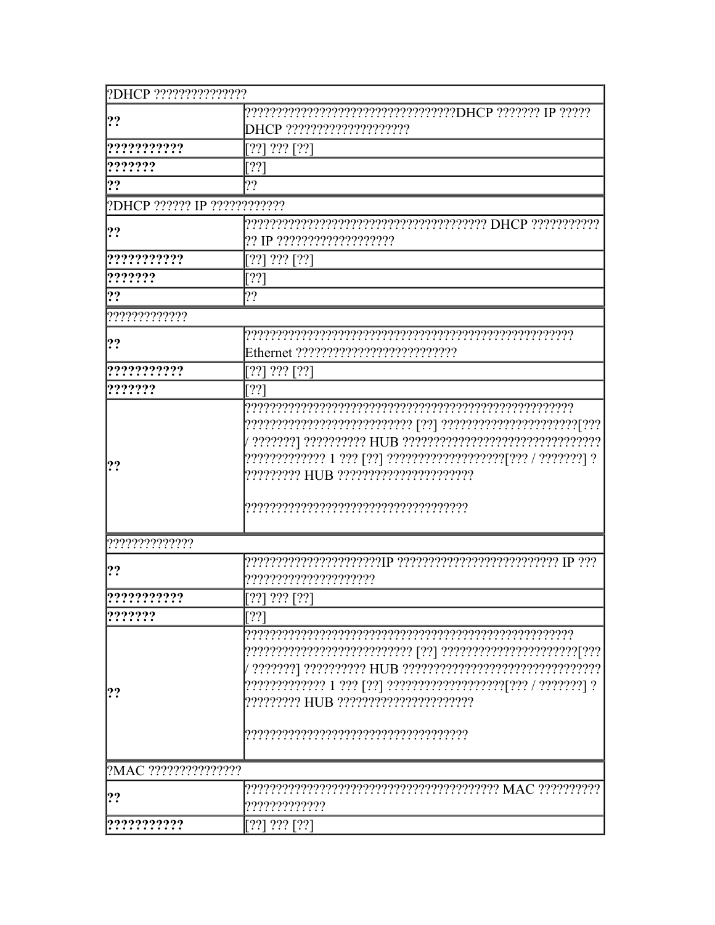| ?DHCP ????????????????       |                                                       |
|------------------------------|-------------------------------------------------------|
| ??                           | ????????????????????????????????DHCP ??????? IP ????? |
|                              |                                                       |
| ???????????                  | $[??] ???$ $[??]$                                     |
| ???????                      | [??]                                                  |
| ??                           | 2?                                                    |
| ?DHCP ?????? IP ???????????? |                                                       |
|                              |                                                       |
| ??                           |                                                       |
| ???????????                  | $[??] ???$ $[??]$                                     |
| ???????                      | [??]                                                  |
| ??                           | 2?                                                    |
| ??????????????               |                                                       |
|                              |                                                       |
| ??                           |                                                       |
| ???????????                  | $[??] ???$ $[??]$                                     |
| ???????                      | [??]                                                  |
| ??                           | ????????? HUB ??????????????????????                  |
| ??????????????               |                                                       |
| ??                           | ?????????????????????                                 |
| ???????????                  | [??] ??? [??]                                         |
| ? ? ? ? ? ?                  | [??]                                                  |
| ??                           | ????????? HUB ??????????????????????                  |
| ?MAC ????????????????        |                                                       |
| ??                           | ?????????????                                         |
| ???????????                  | $[??] ???$ $[??]$                                     |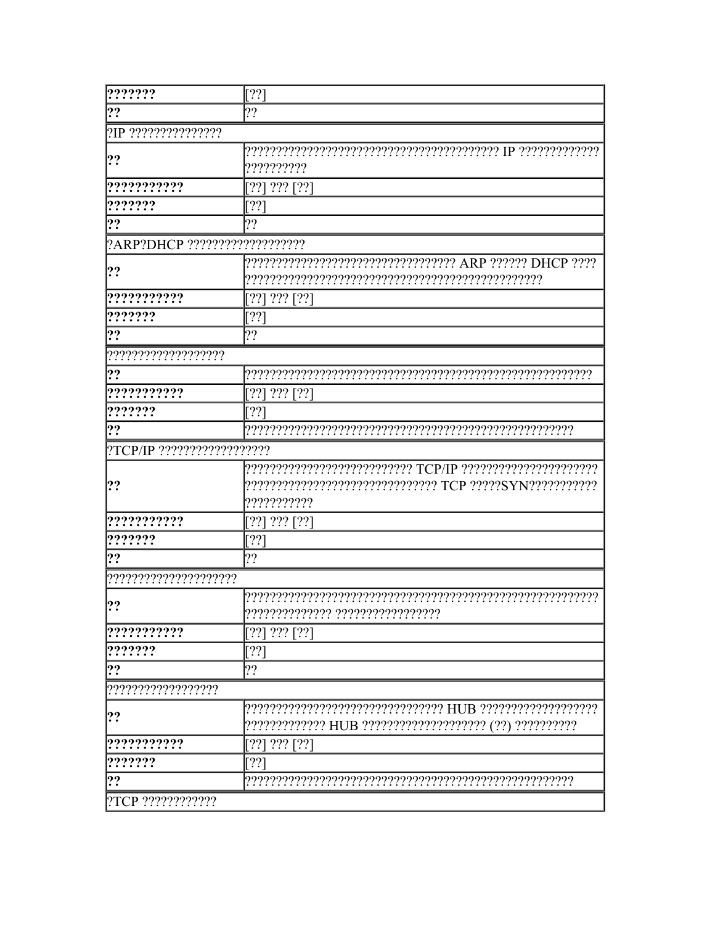| ???????                        | [??                                                    |
|--------------------------------|--------------------------------------------------------|
| ??                             | 2?                                                     |
| ?IP ????????????????           |                                                        |
| ??                             | ??????????                                             |
| ???????????                    | 22<br>$???$ [??]                                       |
| ???????                        | [??]                                                   |
| ??                             | ??                                                     |
| ?ARP?DHCP ???????????????????? |                                                        |
| ??                             |                                                        |
| ???????????                    | 7?<br>$???$ [ $??$ ]                                   |
| ???????                        | [??                                                    |
| ??                             | ??                                                     |
| ????????????????????           |                                                        |
| ??                             |                                                        |
| ???????????                    | $???$ [??]<br>[??]                                     |
| ???????                        | [??]                                                   |
| ??                             |                                                        |
| ?TCP/IP ??????????????????     |                                                        |
| ??                             | ???????????                                            |
| ???????????                    | ??? [??]<br>[??]                                       |
| ???????                        | [??                                                    |
| ??                             | 2?                                                     |
| ??????????????????????         |                                                        |
| 99                             | ?????????????? ??????????????????                      |
| ???????????                    | [?? $^{\circ}$<br>$???$ [??]                           |
| ???????                        | 22                                                     |
| ??                             | 2?                                                     |
| ???????????????????            |                                                        |
| ??                             | ????????????? HUB ??????????????????? (??) ??????????? |
| ???????????                    | 22<br>$???$ [??]                                       |
| ???????                        | [??]                                                   |
| ??                             |                                                        |
|                                |                                                        |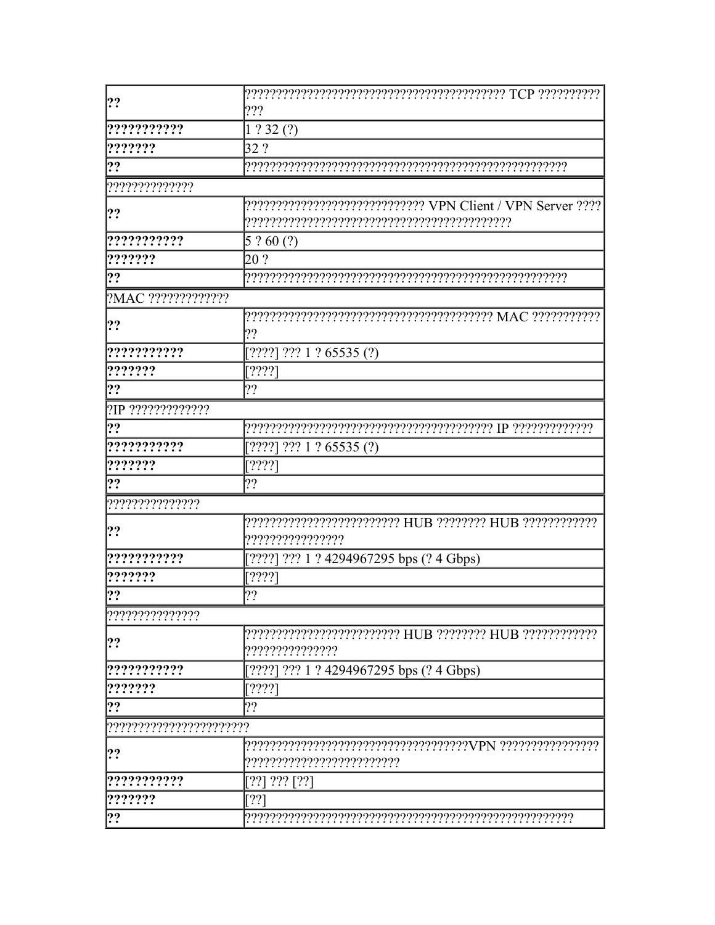| ??                 |                                                             |
|--------------------|-------------------------------------------------------------|
|                    | 2??                                                         |
| ???????????        | 1.232(2)                                                    |
| ???????            | 32 ?                                                        |
| ??                 |                                                             |
| ??????????????     |                                                             |
| ??                 | ?????????????????????????????? VPN Client / VPN Server ???? |
|                    |                                                             |
| ???????????        | $5$ ? 60 (?)                                                |
| ???????            | 20 ?                                                        |
| ??                 |                                                             |
| ?MAC ????????????? |                                                             |
| ??                 | 2?                                                          |
| ???????????        | [????] ??? 1 ? 65535 (?)                                    |
| ???????            | [????]                                                      |
| ??                 | 2?                                                          |
| ?IP ?????????????? |                                                             |
| ??                 |                                                             |
| ???????????        | ??? 1 ? 65535 (?)<br>[222]                                  |
| ???????            | [????]                                                      |
| ??                 | 2?                                                          |
| ????????????????   |                                                             |
| ??                 | ?????????????????                                           |
| ???????????        | [????]<br>??? 1 ? 4294967295 bps (? 4 Gbps)                 |
| ???????            | [????]                                                      |
| ??                 | ??                                                          |
| [????????????????  |                                                             |
| ??                 | ????????????????                                            |
| ???????????        | ??? 1 ? 4294967295 bps (? 4 Gbps)                           |
| ???????            | [????]                                                      |
| ??                 | 2?                                                          |
|                    |                                                             |
| ??                 |                                                             |
| ???????????        | [??] ??? [??]                                               |
| ???????            | [??]                                                        |
| ??                 |                                                             |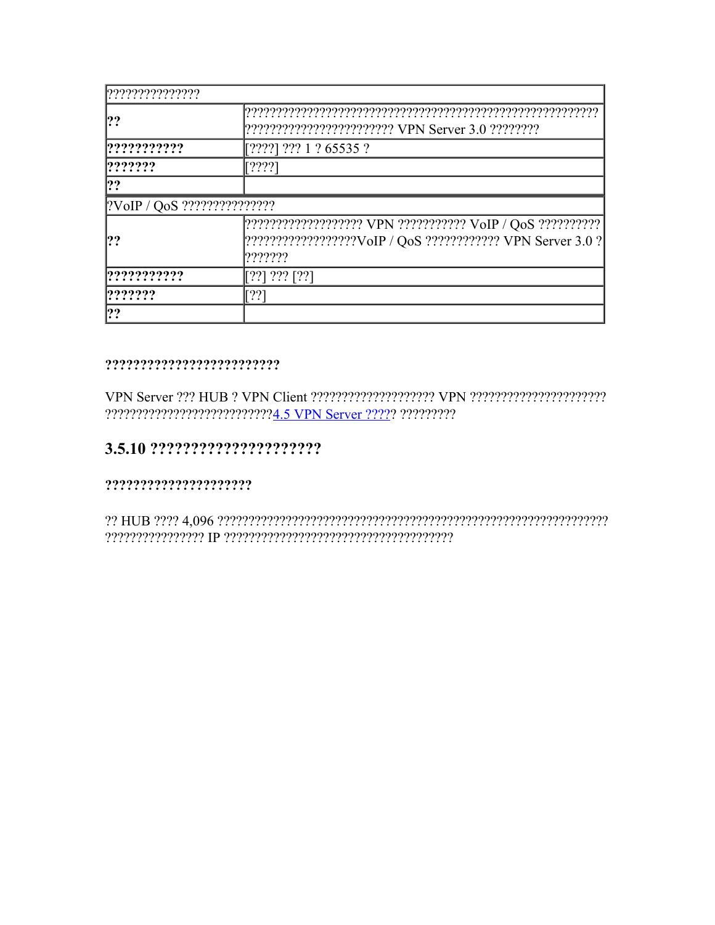| ??????????????      |                                                                                                                                                               |
|---------------------|---------------------------------------------------------------------------------------------------------------------------------------------------------------|
| ??                  | ????????????????????????? VPN Server 3.0 ?????????                                                                                                            |
| ????????????        | [????] ??? 1 ? 65535 ?                                                                                                                                        |
| ? ? ? ? ? ?         | [????]                                                                                                                                                        |
| ??                  |                                                                                                                                                               |
|                     |                                                                                                                                                               |
| ??                  | ???????????????????? VPN ??????????? VoIP / QoS ?????????????????????????????????<br>[???????????????????VoIP / QoS ???????????? VPN Server 3.0 ?]<br>??????? |
| ? ? ? ? ? ? ? ? ? ? | $[??] ???$ [??]                                                                                                                                               |
| ? ? ? ? ? ?         | [??]                                                                                                                                                          |
| ??                  |                                                                                                                                                               |

#### 

# 

####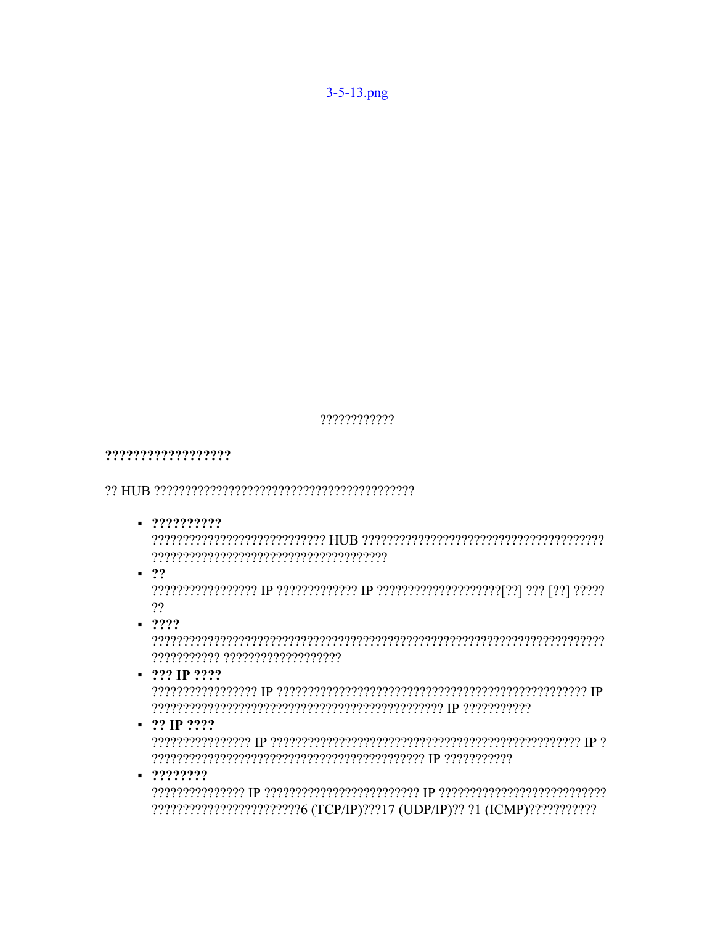????????????

# ??????????????????

 $-222222222$ 

 $\blacksquare$  ??

 $22$ 

 $-2222$ 

 $-$  ??? IP ????

 $-22$  IP  $222$ 

 $-2222222$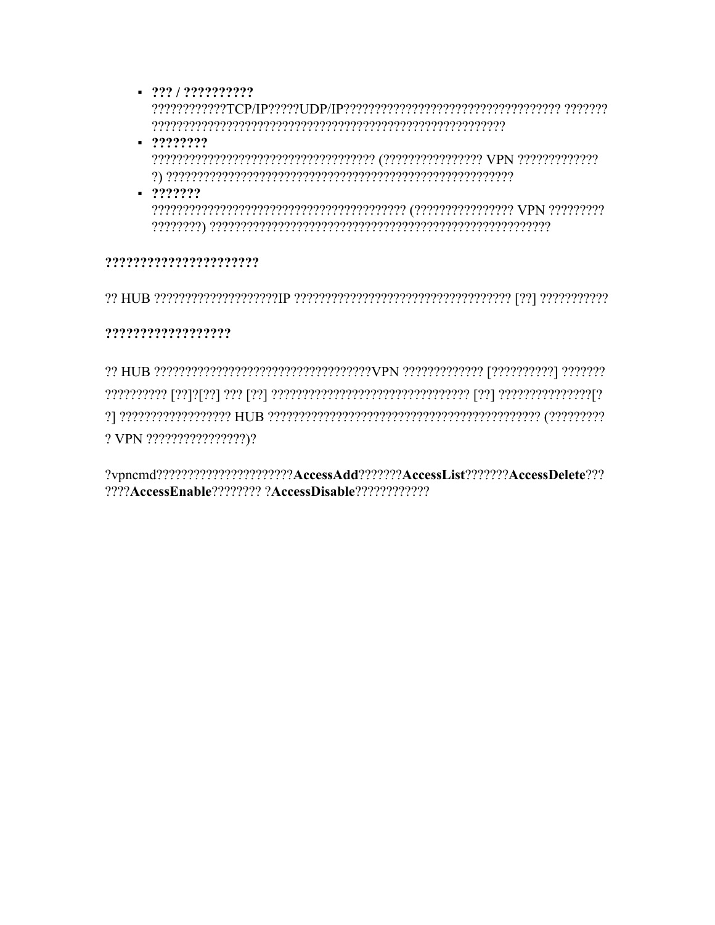$-222/22222222$ 

- $-2222222$
- $-2222222$

#### ??????????????????????

#### ??????????????????

? VPN ?????????????????)?

?vpncmd????????????????????????AccessAdd???????AccessList???????AccessDelete???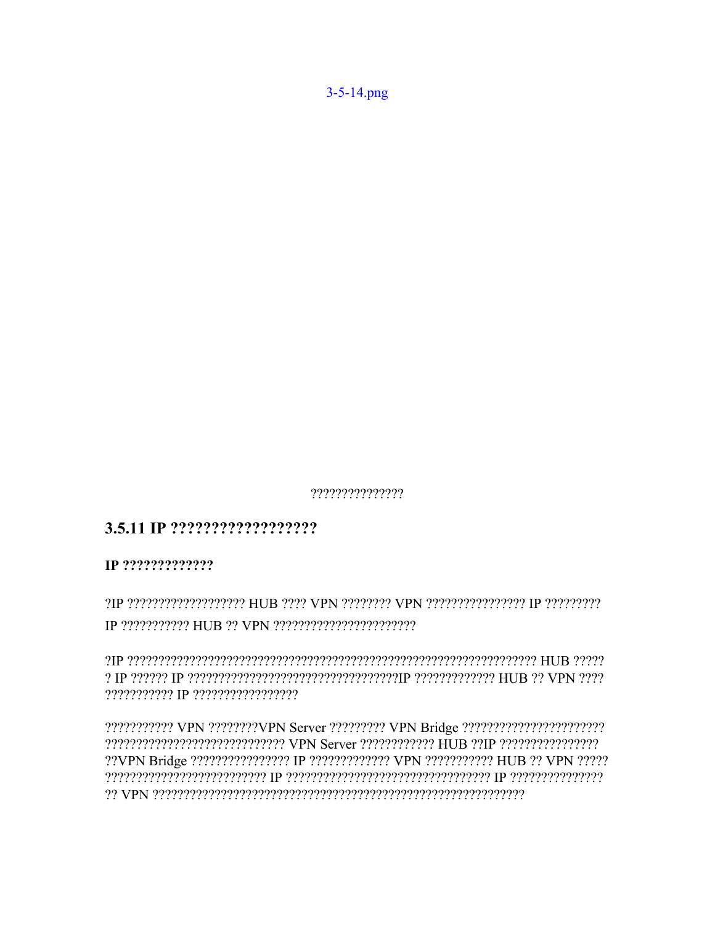???????????????

# 

?IP ???????????????????? HUB ???? VPN ???????? VPN ??????????????? IP ?????????? 

??????????? IP ??????????????????

??????????? VPN ????????VPN Server ????????? VPN Bridge ????????????????????????? ??VPN Bridge ????????????????? IP ????????????? VPN ?????????? HUB ?? VPN ????? or VPN processer enterpresentation and the VPN contract of the VPN co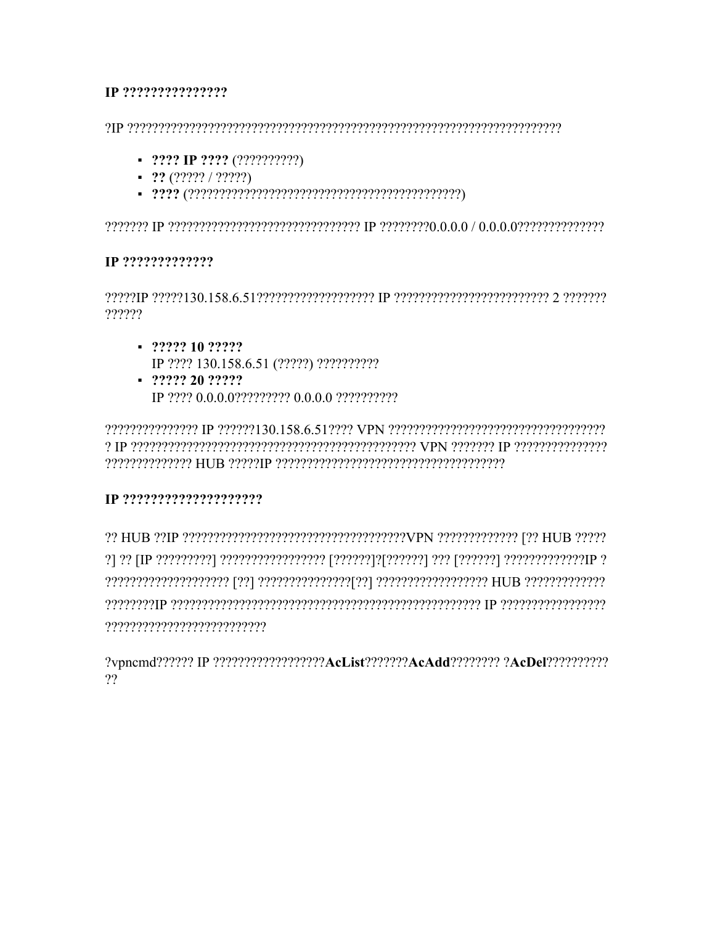#### 

- $\blacksquare$  ???? IP ???? (??????????)
- $-22(22222/2222)$
- 

#### IP ??????????????

 $\gamma$  erecee 2 ereceereceereceereceere que receereceereceerece (30.138.6 0219999) recee ??????

- $-222221022222$ IP ???? 130.158.6.51 (?????) ???????????
- $-22222202222$

e (Precepterences) ומקבל TPN ומקומים המקבלו והמהורים ומקורו והמקבלו והווה והווה והווה מקבלו המינה מ 

#### 

reserved the consequence of consequence of the consequence of the consequence of the consequence of the conseq 

?vpncmd?????? IP ??????????????????AcList???????AcAdd???????? ?AcDel???????????  $22$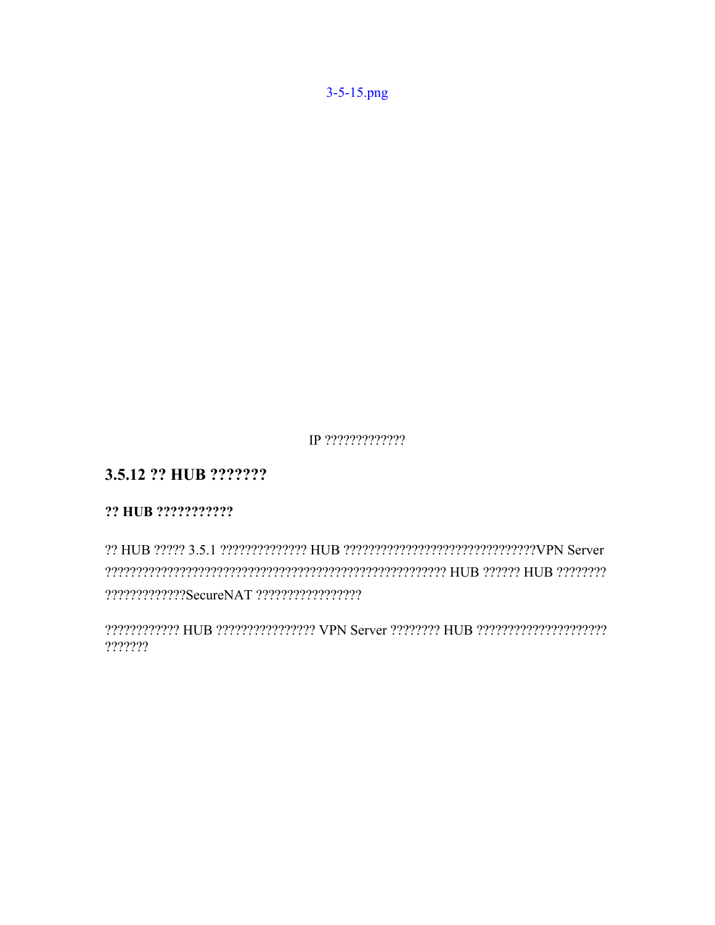$3 - 5 - 15$ .png

IP ??????????????

# 3.5.12 ?? HUB ???????

# ?? HUB ???????????

???????????? HUB ???????????????? VPN Server ???????? HUB ??????????????????????? ???????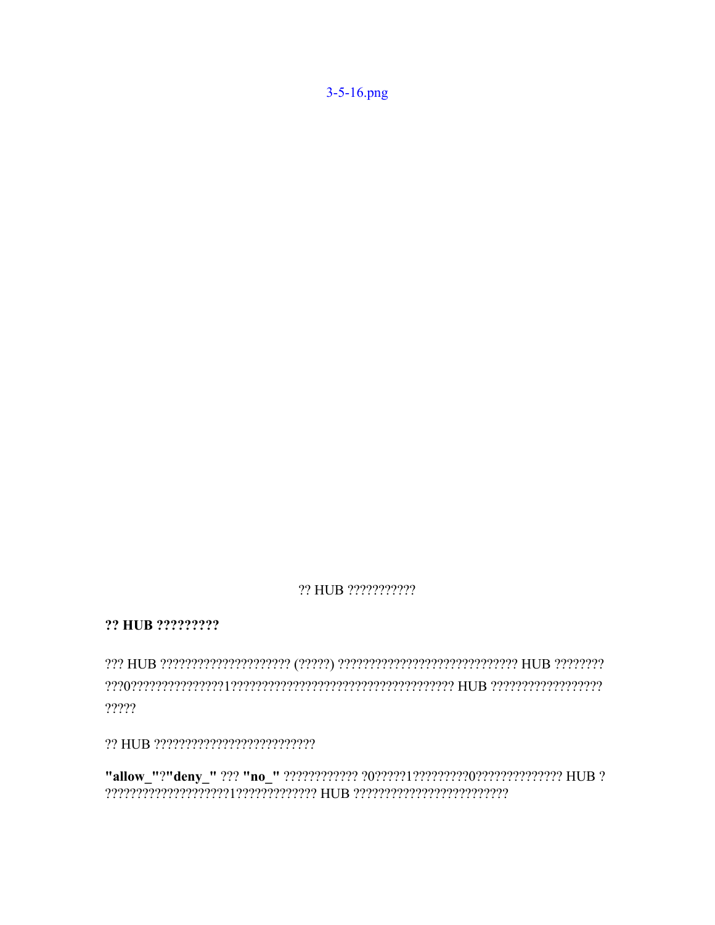3-5-16.png

#### ?? HUB ???????????

?? HUB ?????????

?????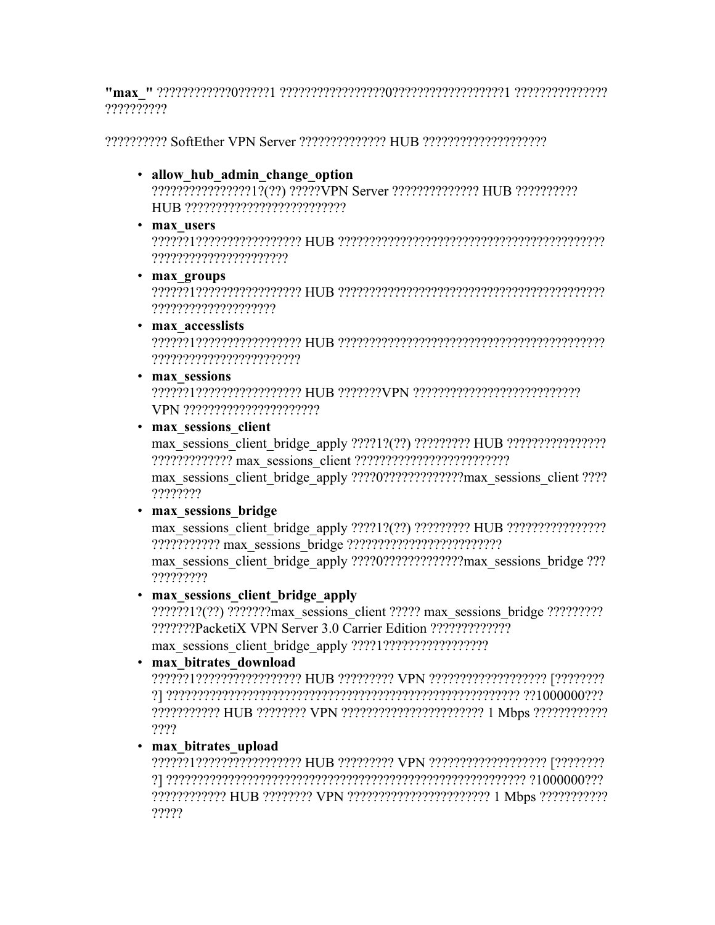**"max\_"** ????????????0?????1 ?????????????????0??????????????????1 ??????????????? ??????????

?????????? SoftEther VPN Server ?????????????? HUB ????????????????????

• **allow\_hub\_admin\_change\_option**

????????????????1?(??) ?????VPN Server ?????????????? HUB ?????????? HUB ??????????????????????????

• **max\_users**

??????1????????????????? HUB ??????????????????????????????????????????? ??????????????????????

• **max\_groups**

??????1????????????????? HUB ??????????????????????????????????????????? ????????????????????

• **max\_accesslists**

??????1????????????????? HUB ??????????????????????????????????????????? ????????????????????????

• **max\_sessions**

??????1????????????????? HUB ???????VPN ??????????????????????????? VPN ??????????????????????

• **max\_sessions\_client**

max\_sessions\_client\_bridge\_apply ????1?(??) ????????? HUB ???????????????? ????????????? max\_sessions\_client ?????????????????????????

max\_sessions\_client\_bridge\_apply ????0?????????????max\_sessions\_client ???? ????????

• **max\_sessions\_bridge**

max\_sessions\_client\_bridge\_apply ????1?(??) ????????? HUB ???????????????? ??????????? max\_sessions\_bridge ?????????????????????????

max\_sessions\_client\_bridge\_apply ????0?????????????max\_sessions\_bridge ??? ?????????

# • **max\_sessions\_client\_bridge\_apply**

??????1?(??) ???????max\_sessions\_client ????? max\_sessions\_bridge ????????? ???????PacketiX VPN Server 3.0 Carrier Edition ????????????? max\_sessions\_client\_bridge\_apply ????1?????????????????

# • **max\_bitrates\_download**

??????1????????????????? HUB ????????? VPN ??????????????????? [???????? ?] ????????????????????????????????????????????????????????? ??1000000??? ??????????? HUB ???????? VPN ??????????????????????? 1 Mbps ???????????? ????

• **max\_bitrates\_upload**

??????1????????????????? HUB ????????? VPN ??????????????????? [???????? ?] ?????????????????????????????????????????????????????????? ?1000000??? ???????????? HUB ???????? VPN ??????????????????????? 1 Mbps ??????????? ?????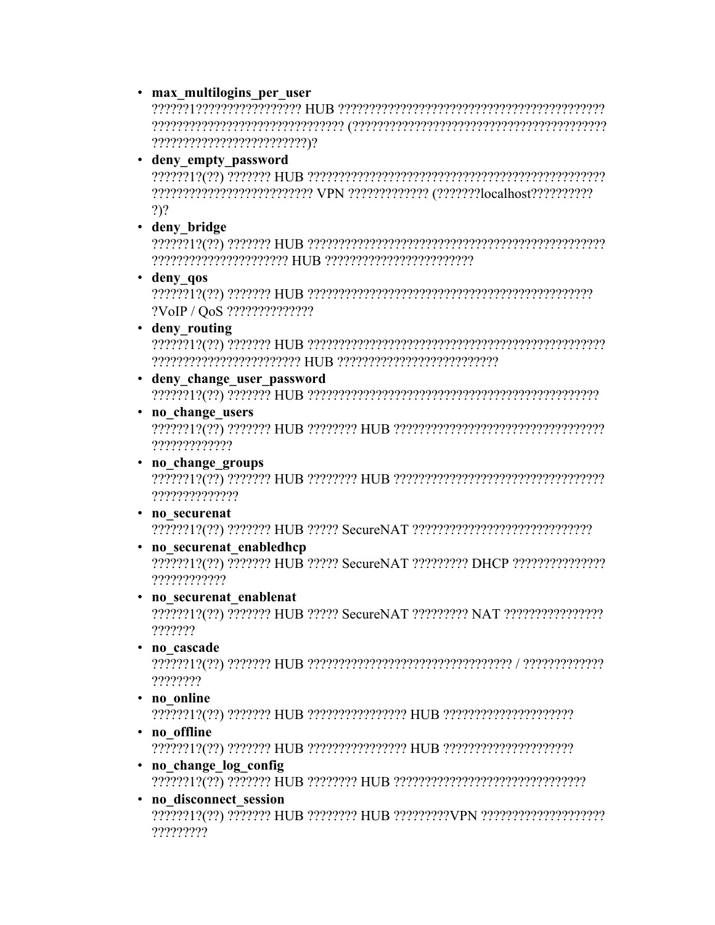#### · max multilogins per user

• deny empty password

 $2)$ ?

· deny bridge

· deny qos

?VoIP / QoS ???????????????

· deny routing

- · deny change user password
- no change users

?????????????

- no change groups ??????????????
- · no securenat
- no securenat enabledhcp

????????????

- · no securenat enablenat ???????
- · no cascade

????????

- · no online
- · no offline
- · no change log config
- · no disconnect session